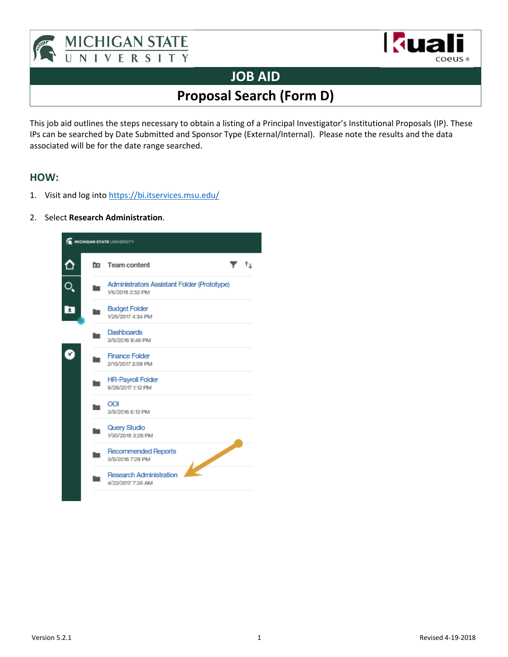



## **JOB AID**

**Proposal Search (Form D)** 

This job aid outlines the steps necessary to obtain a listing of a Principal Investigator's Institutional Proposals (IP). These IPs can be searched by Date Submitted and Sponsor Type (External/Internal). Please note the results and the data associated will be for the date range searched.

## **HOW:**

- 1. Visit and log into<https://bi.itservices.msu.edu/>
- 2. Select **Research Administration**.

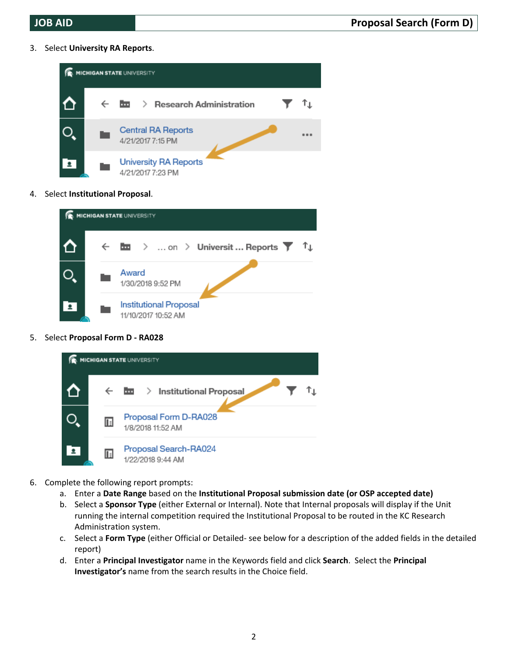3. Select **University RA Reports**.



4. Select **Institutional Proposal**.



5. Select **Proposal Form D ‐ RA028**



- 6. Complete the following report prompts:
	- a. Enter a **Date Range** based on the **Institutional Proposal submission date (or OSP accepted date)**
	- b. Select a **Sponsor Type** (either External or Internal). Note that Internal proposals will display if the Unit running the internal competition required the Institutional Proposal to be routed in the KC Research Administration system.
	- c. Select a **Form Type** (either Official or Detailed‐ see below for a description of the added fields in the detailed report)
	- d. Enter a **Principal Investigator** name in the Keywords field and click **Search**. Select the **Principal Investigator's** name from the search results in the Choice field.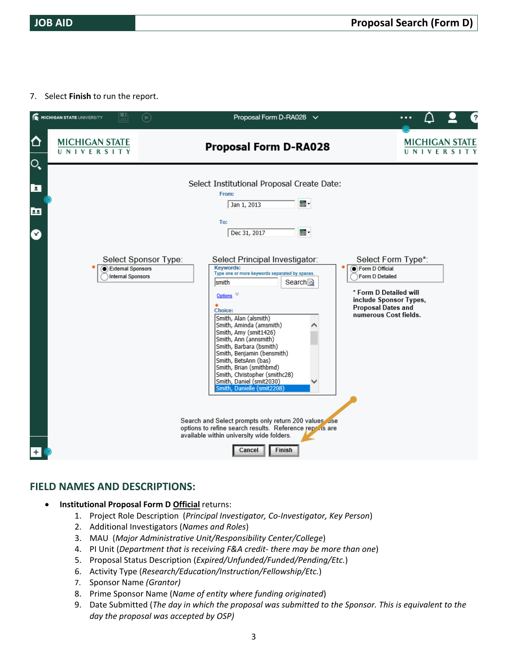7. Select **Finish** to run the report.

|                           | MICHIGAN STATE UNIVERSITY           | $(\blacktriangleright)$                                               | Proposal Form D-RA028 $\vee$                                                                                                                                                                                                                                                                                                                                                                                                                                                    |                                                                                                                                                                    |
|---------------------------|-------------------------------------|-----------------------------------------------------------------------|---------------------------------------------------------------------------------------------------------------------------------------------------------------------------------------------------------------------------------------------------------------------------------------------------------------------------------------------------------------------------------------------------------------------------------------------------------------------------------|--------------------------------------------------------------------------------------------------------------------------------------------------------------------|
| ⇧<br>$\mathsf{O}_\bullet$ | <b>MICHIGAN STATE</b><br>UNIVERSITY |                                                                       | <b>Proposal Form D-RA028</b>                                                                                                                                                                                                                                                                                                                                                                                                                                                    | <b>MICHIGAN STATE</b><br>UNIVERSITY                                                                                                                                |
| $\overline{2}$<br>22<br>☎ |                                     |                                                                       | Select Institutional Proposal Create Date:<br>From:<br>▦・<br>Jan 1, 2013<br>To:<br>▦<br>Dec 31, 2017                                                                                                                                                                                                                                                                                                                                                                            |                                                                                                                                                                    |
|                           |                                     | Select Sponsor Type:<br>External Sponsors<br><b>Internal Sponsors</b> | Select Principal Investigator:<br><b>Keywords:</b><br>Type one or more keywords separated by spaces.<br>Search <sub>ol</sub><br>smith<br>Options<br><b>Choice:</b><br>Smith, Alan (alsmith)<br>Smith, Aminda (amsmith)<br>Smith, Amy (smit1426)<br>Smith, Ann (annsmith)<br>Smith, Barbara (bsmith)<br>Smith, Benjamin (bensmith)<br>Smith, BetsAnn (bas)<br>Smith, Brian (smithbmd)<br>Smith, Christopher (smithc28)<br>Smith, Daniel (smit2030)<br>Smith, Danielle (smit2208) | Select Form Type*:<br>Form D Official<br>Form D Detailed<br>* Form D Detailed will<br>include Sponsor Types,<br><b>Proposal Dates and</b><br>numerous Cost fields. |
|                           |                                     |                                                                       | Search and Select prompts only return 200 values use<br>options to refine search results. Reference reprins are<br>available within university wide folders.<br>Finish<br>Cancel                                                                                                                                                                                                                                                                                                |                                                                                                                                                                    |

## **FIELD NAMES AND DESCRIPTIONS:**

- **•** Institutional Proposal Form D Official returns:
	- 1. Project Role Description (*Principal Investigator, Co‐Investigator, Key Person*)
	- 2. Additional Investigators (*Names and Roles*)
	- 3. MAU (*Major Administrative Unit/Responsibility Center/College*)
	- 4. PI Unit (*Department that is receiving F&A credit‐ there may be more than one*)
	- 5. Proposal Status Description (*Expired/Unfunded/Funded/Pending/Etc.*)
	- 6. Activity Type (*Research/Education/Instruction/Fellowship/Etc.*)
	- 7. Sponsor Name *(Grantor)*
	- 8. Prime Sponsor Name (*Name of entity where funding originated*)
	- 9. Date Submitted (*The day in which the proposal was submitted to the Sponsor. This is equivalent to the day the proposal was accepted by OSP)*